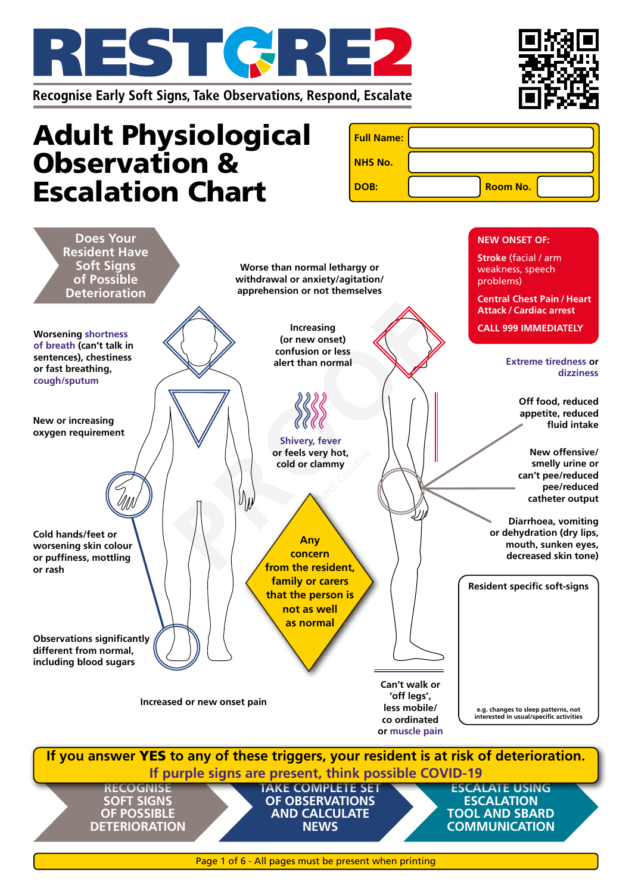



# Adult Physiological Observation & Escalation Chart

| <b>Full Name:</b> |                 |
|-------------------|-----------------|
| <b>NHS No.</b>    |                 |
| DOB:              | <b>Room No.</b> |

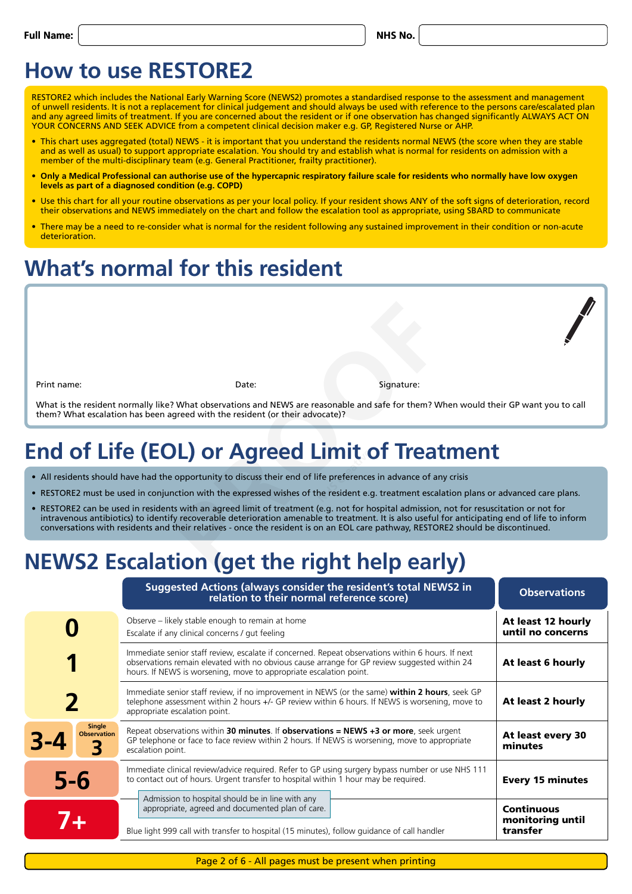| v<br>v |
|--------|
|--------|

### **How to use RESTORE2**

RESTORE2 which includes the National Early Warning Score (NEWS2) promotes a standardised response to the assessment and management of unwell residents. It is not a replacement for clinical judgement and should always be used with reference to the persons care/escalated plan and any agreed limits of treatment. If you are concerned about the resident or if one observation has changed significantly ALWAYS ACT ON YOUR CONCERNS AND SEEK ADVICE from a competent clinical decision maker e.g. GP, Registered Nurse or AHP.

- This chart uses aggregated (total) NEWS it is important that you understand the residents normal NEWS (the score when they are stable and as well as usual) to support appropriate escalation. You should try and establish what is normal for residents on admission with a member of the multi-disciplinary team (e.g. General Practitioner, frailty practitioner).
- **• Only a Medical Professional can authorise use of the hypercapnic respiratory failure scale for residents who normally have low oxygen levels as part of a diagnosed condition (e.g. COPD)**
- Use this chart for all your routine observations as per your local policy. If your resident shows ANY of the soft signs of deterioration, record their observations and NEWS immediately on the chart and follow the escalation tool as appropriate, using SBARD to communicate
- There may be a need to re-consider what is normal for the resident following any sustained improvement in their condition or non-acute deterioration.

### **What's normal for this resident**

Print name: Signature: Signature: Signature: Signature: Signature: Signature: Signature: Signature: Signature: Signature: Signature: Signature: Signature: Signature: Signature: Signature: Signature: Signature: Signature: S

What is the resident normally like? What observations and NEWS are reasonable and safe for them? When would their GP want you to call them? What escalation has been agreed with the resident (or their advocate)?

# **End of Life (EOL) or Agreed Limit of Treatment NHTT**<br>ife preference<br>he resident e.g

- All residents should have had the opportunity to discuss their end of life preferences in advance of any crisis
- RESTORE2 must be used in conjunction with the expressed wishes of the resident e.g. treatment escalation plans or advanced care plans.
- RESTORE2 can be used in residents with an agreed limit of treatment (e.g. not for hospital admission, not for resuscitation or not for intravenous antibiotics) to identify recoverable deterioration amenable to treatment. It is also useful for anticipating end of life to inform conversations with residents and their relatives - once the resident is on an EOL care pathway, RESTORE2 should be discontinued. Date:<br>
Pate:<br>
Pate:<br>
Pated with the resident (or their advocate)?<br>
Pated with the resident (or their advocate)?<br>
Pated with the resident (or their advocate)?<br>
Pated Limit of Treat<br>
paportunity to discuss their end of life

## **NEWS2 Escalation (get the right help early)**

|                                          | Suggested Actions (always consider the resident's total NEWS2 in<br>relation to their normal reference score)                                                                                                                                                           | <b>Observations</b>                     |  |  |  |  |  |
|------------------------------------------|-------------------------------------------------------------------------------------------------------------------------------------------------------------------------------------------------------------------------------------------------------------------------|-----------------------------------------|--|--|--|--|--|
|                                          | Observe – likely stable enough to remain at home<br>Escalate if any clinical concerns / gut feeling                                                                                                                                                                     | At least 12 hourly<br>until no concerns |  |  |  |  |  |
|                                          | Immediate senior staff review, escalate if concerned. Repeat observations within 6 hours. If next<br>observations remain elevated with no obvious cause arrange for GP review suggested within 24<br>hours. If NEWS is worsening, move to appropriate escalation point. |                                         |  |  |  |  |  |
| 2                                        | Immediate senior staff review, if no improvement in NEWS (or the same) within 2 hours, seek GP<br>telephone assessment within 2 hours +/- GP review within 6 hours. If NEWS is worsening, move to<br>appropriate escalation point.                                      |                                         |  |  |  |  |  |
| <b>Single</b><br><b>Observation</b><br>3 | Repeat observations within 30 minutes. If observations = $NEWS + 3$ or more, seek urgent<br>GP telephone or face to face review within 2 hours. If NEWS is worsening, move to appropriate<br>escalation point.                                                          | At least every 30<br>minutes            |  |  |  |  |  |
| $5-6$                                    | Immediate clinical review/advice required. Refer to GP using surgery bypass number or use NHS 111<br>to contact out of hours. Urgent transfer to hospital within 1 hour may be required.                                                                                | <b>Every 15 minutes</b>                 |  |  |  |  |  |
|                                          | Admission to hospital should be in line with any<br>appropriate, agreed and documented plan of care.                                                                                                                                                                    | <b>Continuous</b><br>monitoring until   |  |  |  |  |  |
|                                          | Blue light 999 call with transfer to hospital (15 minutes), follow guidance of call handler                                                                                                                                                                             | transfer                                |  |  |  |  |  |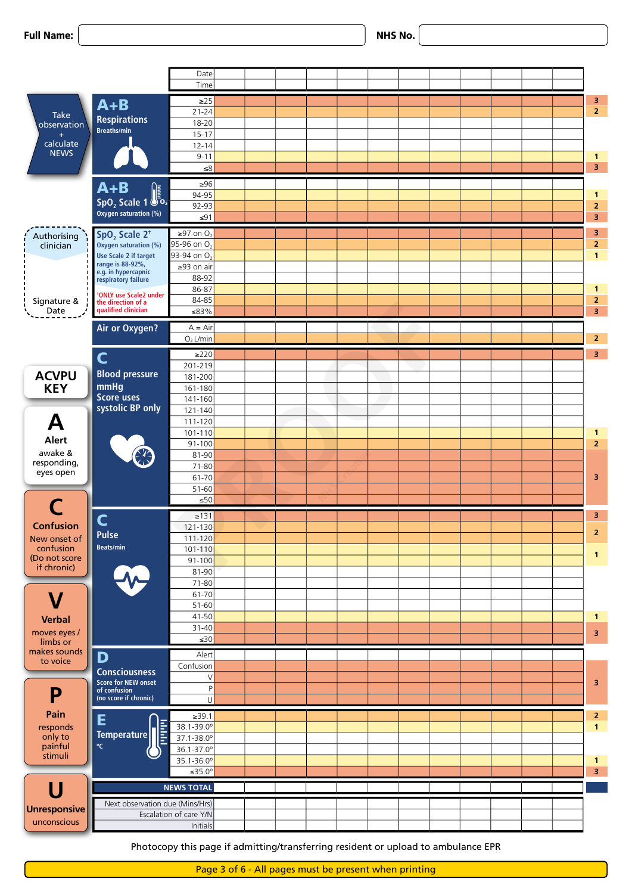|  | <b>Full Name:</b> |
|--|-------------------|
|--|-------------------|

|                          |                                                                | Date                                  |  |  |  |  |  |                         |
|--------------------------|----------------------------------------------------------------|---------------------------------------|--|--|--|--|--|-------------------------|
|                          |                                                                | Time                                  |  |  |  |  |  |                         |
|                          | $A+B$                                                          | $\geq$ 25                             |  |  |  |  |  | $\frac{3}{2}$           |
| Take                     | <b>Respirations</b>                                            | $21 - 24$                             |  |  |  |  |  |                         |
| observation<br>$+$       | Breaths/min                                                    | $18 - 20$<br>$15-17$                  |  |  |  |  |  |                         |
| calculate                |                                                                | $12 - 14$                             |  |  |  |  |  |                         |
| <b>NEWS</b>              |                                                                | $9 - 11$                              |  |  |  |  |  | $\mathbf{1}$            |
|                          |                                                                | $\leq 8$                              |  |  |  |  |  | $\overline{\mathbf{3}}$ |
|                          |                                                                | $\geq 96$                             |  |  |  |  |  |                         |
|                          | $\overline{\mathbf{A}+\mathbf{B}}$<br>SpO <sub>2</sub> Scale 1 | 94-95                                 |  |  |  |  |  | $\mathbf{1}$            |
|                          | Oxygen saturation (%)                                          | 92-93                                 |  |  |  |  |  | $\mathbf{2}$            |
|                          |                                                                | $\leq 91$                             |  |  |  |  |  | $\overline{\mathbf{3}}$ |
| Authorising              | $SpO2$ Scale 2 <sup>t</sup>                                    | $\geq$ 97 on O <sub>2</sub>           |  |  |  |  |  | $\mathbf{3}$            |
| clinician                | Oxygen saturation (%)                                          | 95-96 on O <sub>2</sub>               |  |  |  |  |  | $\mathbf{2}$            |
|                          | Use Scale 2 if target<br>range is 88-92%,                      | 93-94 on O <sub>2</sub><br>≥93 on air |  |  |  |  |  | $\mathbf{1}$            |
|                          | e.g. in hypercapnic<br>respiratory failure                     | 88-92                                 |  |  |  |  |  |                         |
|                          |                                                                | 86-87                                 |  |  |  |  |  | $\mathbf{1}$            |
| Signature &              | <sup>t</sup> ONLY use Scale2 under<br>the direction of a       | 84-85                                 |  |  |  |  |  | $\overline{2}$          |
| Date                     | qualified clinician                                            | ≤83%                                  |  |  |  |  |  | $\overline{\mathbf{3}}$ |
|                          | Air or Oxygen?                                                 | $A = Air$                             |  |  |  |  |  |                         |
|                          |                                                                | $O2$ L/min                            |  |  |  |  |  | 2 <sub>1</sub>          |
|                          | C                                                              | $\geq$ 220                            |  |  |  |  |  | 3 <sub>1</sub>          |
|                          |                                                                | 201-219                               |  |  |  |  |  |                         |
| <b>ACVPU</b>             | <b>Blood pressure</b>                                          | 181-200                               |  |  |  |  |  |                         |
| <b>KEY</b>               | mmHg<br>Score uses                                             | 161-180                               |  |  |  |  |  |                         |
|                          | systolic BP only                                               | 141-160<br>$121 - 140$                |  |  |  |  |  |                         |
| A                        |                                                                | $111 - 120$                           |  |  |  |  |  |                         |
|                          |                                                                | $101 - 110$                           |  |  |  |  |  | $\mathbf{1}$            |
| Alert                    |                                                                | $91 - 100$                            |  |  |  |  |  | $\overline{2}$          |
| awake &                  | ER-                                                            | 81-90                                 |  |  |  |  |  |                         |
| responding,<br>eyes open |                                                                | 71-80                                 |  |  |  |  |  |                         |
|                          |                                                                | 61-70                                 |  |  |  |  |  | 3                       |
|                          |                                                                | 51-60<br>$\leq 50$                    |  |  |  |  |  |                         |
|                          |                                                                |                                       |  |  |  |  |  |                         |
| <b>Confusion</b>         | $\overline{\mathsf{C}}$                                        | $\geq 131$<br>$121 - 130$             |  |  |  |  |  | $\overline{\mathbf{3}}$ |
| New onset of             | <b>Pulse</b>                                                   | $111 - 120$                           |  |  |  |  |  | 2                       |
| confusion                | <b>Beats/min</b>                                               | $101 - 110$                           |  |  |  |  |  |                         |
| (Do not score            |                                                                | $91 - 100$                            |  |  |  |  |  | $\overline{1}$          |
| if chronic)              |                                                                | $81 - 90$                             |  |  |  |  |  |                         |
|                          | $\ddot{\sim}$                                                  | $71 - 80$                             |  |  |  |  |  |                         |
| $\mathbf V$              |                                                                | $61 - 70$                             |  |  |  |  |  |                         |
|                          |                                                                | 51-60<br>$41 - 50$                    |  |  |  |  |  | $\mathbf{1}$            |
| <b>Verbal</b>            |                                                                | 31-40                                 |  |  |  |  |  |                         |
| moves eyes /<br>limbs or |                                                                | $\leq 30$                             |  |  |  |  |  | $\overline{\mathbf{3}}$ |
| makes sounds             | D                                                              | Alert                                 |  |  |  |  |  |                         |
| to voice                 |                                                                | Confusion                             |  |  |  |  |  |                         |
|                          | <b>Consciousness</b><br><b>Score for NEW onset</b>             | $\lambda$                             |  |  |  |  |  | 3                       |
| P                        | of confusion                                                   |                                       |  |  |  |  |  |                         |
|                          | (no score if chronic)                                          | - Ul                                  |  |  |  |  |  |                         |
| Pain                     | E                                                              | $\geq 39.1$                           |  |  |  |  |  | $\mathbf{2}$            |
| responds                 | <b>SHEET</b>                                                   | 38.1-39.0°                            |  |  |  |  |  | $\overline{1}$          |
| only to<br>painful       | Temperature<br>$^{\circ}$ C                                    | 37.1-38.0°                            |  |  |  |  |  |                         |
| stimuli                  |                                                                | 36.1-37.0°<br>35.1-36.0°              |  |  |  |  |  | $\vert$ 1               |
|                          |                                                                | ≤35.0 $^{\circ}$                      |  |  |  |  |  | $\overline{\mathbf{3}}$ |
|                          |                                                                | <b>NEWS TOTAL</b>                     |  |  |  |  |  |                         |
| U                        |                                                                |                                       |  |  |  |  |  |                         |
| Unresponsive             | Next observation due (Mins/Hrs)                                |                                       |  |  |  |  |  |                         |
|                          |                                                                | Escalation of care Y/N                |  |  |  |  |  |                         |
| unconscious              |                                                                | Initials                              |  |  |  |  |  |                         |

Photocopy this page if admitting/transferring resident or upload to ambulance EPR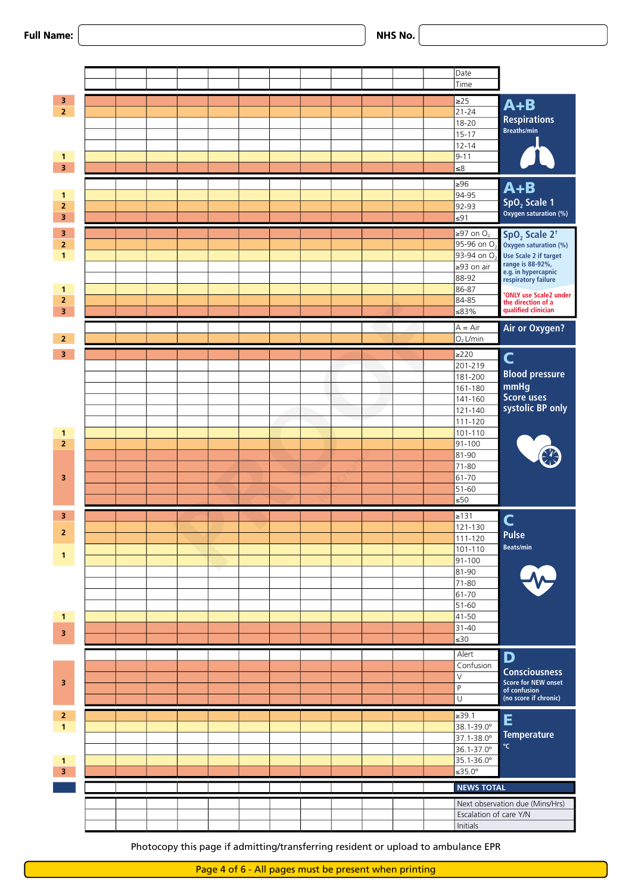



**Initials**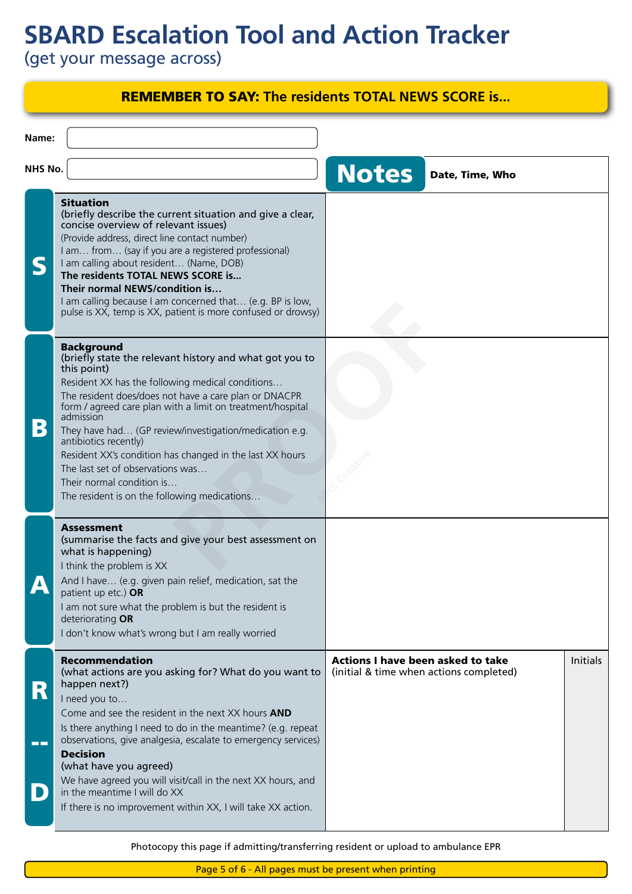## **SBARD Escalation Tool and Action Tracker**

(get your message across)

|                                | <b>REMEMBER TO SAY: The residents TOTAL NEWS SCORE is</b>                                                                                                                                                                                                                                                                                                                                                                                                                                                                                           |                                                                                     |                 |          |
|--------------------------------|-----------------------------------------------------------------------------------------------------------------------------------------------------------------------------------------------------------------------------------------------------------------------------------------------------------------------------------------------------------------------------------------------------------------------------------------------------------------------------------------------------------------------------------------------------|-------------------------------------------------------------------------------------|-----------------|----------|
| Name:                          |                                                                                                                                                                                                                                                                                                                                                                                                                                                                                                                                                     |                                                                                     |                 |          |
| <b>NHS No.</b>                 |                                                                                                                                                                                                                                                                                                                                                                                                                                                                                                                                                     | <b>Notes</b>                                                                        | Date, Time, Who |          |
| S                              | <b>Situation</b><br>(briefly describe the current situation and give a clear,<br>concise overview of relevant issues)<br>(Provide address, direct line contact number)<br>I am from (say if you are a registered professional)<br>I am calling about resident (Name, DOB)<br>The residents TOTAL NEWS SCORE is<br>Their normal NEWS/condition is<br>I am calling because I am concerned that (e.g. BP is low,<br>pulse is XX, temp is XX, patient is more confused or drowsy)                                                                       |                                                                                     |                 |          |
| B                              | <b>Background</b><br>(briefly state the relevant history and what got you to<br>this point)<br>Resident XX has the following medical conditions<br>The resident does/does not have a care plan or DNACPR<br>form / agreed care plan with a limit on treatment/hospital<br>admission<br>They have had (GP review/investigation/medication e.g.<br>antibiotics recently)<br>Resident XX's condition has changed in the last XX hours<br>The last set of observations was<br>Their normal condition is<br>The resident is on the following medications |                                                                                     |                 |          |
|                                | <b>Assessment</b><br>(summarise the facts and give your best assessment on<br>what is happening)<br>I think the problem is XX<br>And I have (e.g. given pain relief, medication, sat the<br>patient up etc.) OR<br>I am not sure what the problem is but the resident is<br>deteriorating OR<br>I don't know what's wrong but I am really worried                                                                                                                                                                                                   |                                                                                     |                 |          |
| D)<br><b>N</b><br><b>COLOR</b> | <b>Recommendation</b><br>(what actions are you asking for? What do you want to<br>happen next?)<br>I need you to<br>Come and see the resident in the next XX hours AND<br>Is there anything I need to do in the meantime? (e.g. repeat<br>observations, give analgesia, escalate to emergency services)<br><b>Decision</b><br>(what have you agreed)<br>We have agreed you will visit/call in the next XX hours, and<br>in the meantime I will do XX<br>If there is no improvement within XX, I will take XX action.                                | <b>Actions I have been asked to take</b><br>(initial & time when actions completed) |                 | Initials |

Photocopy this page if admitting/transferring resident or upload to ambulance EPR